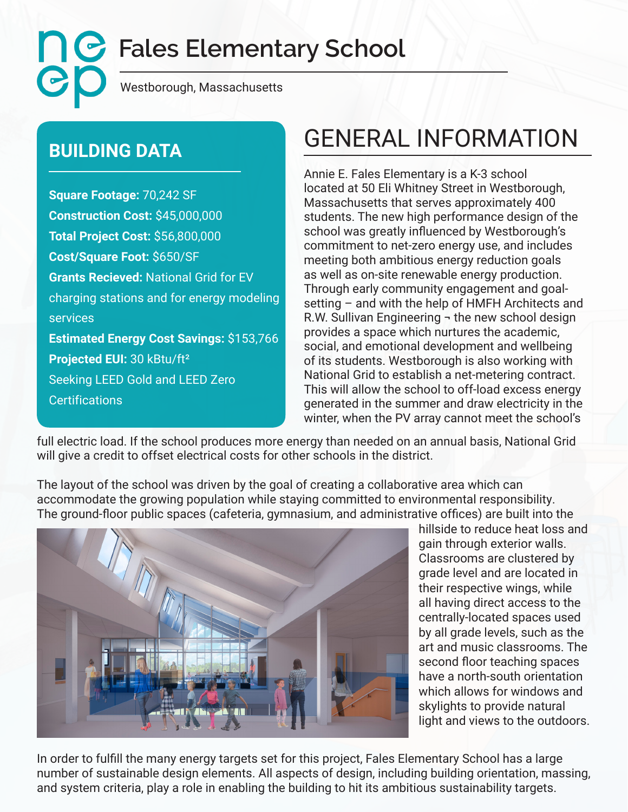**Fales Elementary School** CC

Westborough, Massachusetts

**Square Footage:** 70,242 SF **Construction Cost:** \$45,000,000 **Total Project Cost:** \$56,800,000 **Cost/Square Foot:** \$650/SF **Grants Recieved:** National Grid for EV charging stations and for energy modeling services **Estimated Energy Cost Savings:** \$153,766 **Projected EUI:** 30 kBtu/ft² Seeking LEED Gold and LEED Zero **Certifications** 

## **BUILDING DATA GENERAL INFORMATION**

Annie E. Fales Elementary is a K-3 school located at 50 Eli Whitney Street in Westborough, Massachusetts that serves approximately 400 students. The new high performance design of the school was greatly influenced by Westborough's commitment to net-zero energy use, and includes meeting both ambitious energy reduction goals as well as on-site renewable energy production. Through early community engagement and goalsetting – and with the help of HMFH Architects and R.W. Sullivan Engineering  $\neg$  the new school design provides a space which nurtures the academic, social, and emotional development and wellbeing of its students. Westborough is also working with National Grid to establish a net-metering contract. This will allow the school to off-load excess energy generated in the summer and draw electricity in the winter, when the PV array cannot meet the school's

full electric load. If the school produces more energy than needed on an annual basis, National Grid will give a credit to offset electrical costs for other schools in the district.

The layout of the school was driven by the goal of creating a collaborative area which can accommodate the growing population while staying committed to environmental responsibility. The ground-floor public spaces (cafeteria, gymnasium, and administrative offices) are built into the



hillside to reduce heat loss and gain through exterior walls. Classrooms are clustered by grade level and are located in their respective wings, while all having direct access to the centrally-located spaces used by all grade levels, such as the art and music classrooms. The second floor teaching spaces have a north-south orientation which allows for windows and skylights to provide natural light and views to the outdoors.

In order to fulfill the many energy targets set for this project, Fales Elementary School has a large number of sustainable design elements. All aspects of design, including building orientation, massing, and system criteria, play a role in enabling the building to hit its ambitious sustainability targets.